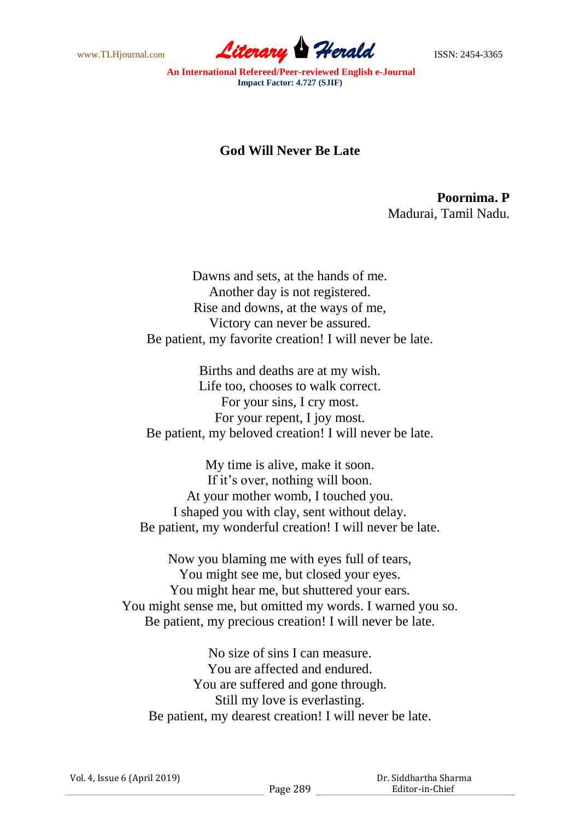www.TLHjournal.com **Literary Herald Herald** ISSN: 2454-3365

**An International Refereed/Peer-reviewed English e-Journal Impact Factor: 4.727 (SJIF)**

## **God Will Never Be Late**

**Poornima. P** Madurai, Tamil Nadu.

Dawns and sets, at the hands of me. Another day is not registered. Rise and downs, at the ways of me, Victory can never be assured. Be patient, my favorite creation! I will never be late.

Births and deaths are at my wish. Life too, chooses to walk correct. For your sins, I cry most. For your repent, I joy most. Be patient, my beloved creation! I will never be late.

My time is alive, make it soon. If it's over, nothing will boon. At your mother womb, I touched you. I shaped you with clay, sent without delay. Be patient, my wonderful creation! I will never be late.

Now you blaming me with eyes full of tears, You might see me, but closed your eyes. You might hear me, but shuttered your ears. You might sense me, but omitted my words. I warned you so. Be patient, my precious creation! I will never be late.

No size of sins I can measure. You are affected and endured. You are suffered and gone through. Still my love is everlasting. Be patient, my dearest creation! I will never be late.